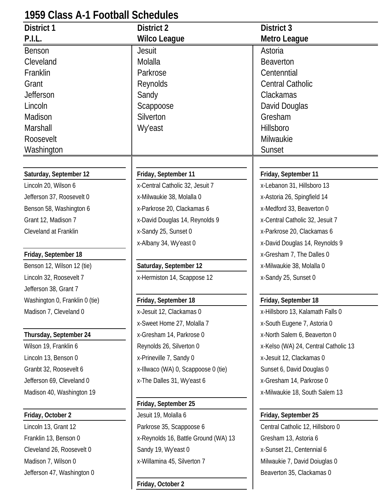# **1959 Class A-1 Football Schedules**

| P.I.L.<br><b>Wilco League</b><br>Metro League<br>Jesuit<br>Astoria<br><b>Benson</b><br>Molalla<br>Cleveland<br><b>Beaverton</b><br>Franklin<br>Parkrose<br>Centenntial<br><b>Central Catholic</b><br>Grant<br>Reynolds<br><b>Jefferson</b><br>Sandy<br>Clackamas<br>David Douglas<br>Lincoln<br>Scappoose<br>Madison<br>Silverton<br>Gresham<br><b>Wy'east</b><br>Hillsboro<br>Marshall<br>Roosevelt<br>Milwaukie<br>Washington<br>Sunset<br>Saturday, September 12<br>Friday, September 11<br>Friday, September 11<br>x-Lebanon 31, Hillsboro 13<br>Lincoln 20, Wilson 6<br>x-Central Catholic 32, Jesuit 7<br>Jefferson 37, Roosevelt 0<br>x-Milwaukie 38, Molalla 0<br>x-Astoria 26, Spingfield 14<br>Benson 58, Washington 6<br>x-Parkrose 20, Clackamas 6<br>x-Medford 33, Beaverton 0<br>Grant 12, Madison 7<br>x-David Douglas 14, Reynolds 9<br>x-Central Catholic 32, Jesuit 7<br>Cleveland at Franklin<br>x-Sandy 25, Sunset 0<br>x-Parkrose 20, Clackamas 6<br>x-Albany 34, Wy'east 0<br>x-David Douglas 14, Reynolds 9<br>x-Gresham 7, The Dalles 0<br>Friday, September 18<br>Benson 12, Wilson 12 (tie)<br>Saturday, September 12<br>x-Milwaukie 38, Molalla 0<br>Lincoln 32, Roosevelt 7<br>x-Hermiston 14, Scappose 12<br>x-Sandy 25, Sunset 0<br>Jefferson 38, Grant 7<br>Friday, September 18<br>Friday, September 18<br>Washington 0, Franklin 0 (tie)<br>Madison 7, Cleveland 0<br>x-Jesuit 12, Clackamas 0<br>x-Hillsboro 13, Kalamath Falls 0 | 1939 GIASS A-T FOOIDAII SCHEQUIES |                            |                             |
|---------------------------------------------------------------------------------------------------------------------------------------------------------------------------------------------------------------------------------------------------------------------------------------------------------------------------------------------------------------------------------------------------------------------------------------------------------------------------------------------------------------------------------------------------------------------------------------------------------------------------------------------------------------------------------------------------------------------------------------------------------------------------------------------------------------------------------------------------------------------------------------------------------------------------------------------------------------------------------------------------------------------------------------------------------------------------------------------------------------------------------------------------------------------------------------------------------------------------------------------------------------------------------------------------------------------------------------------------------------------------------------------------------------------------------------------------------------------|-----------------------------------|----------------------------|-----------------------------|
|                                                                                                                                                                                                                                                                                                                                                                                                                                                                                                                                                                                                                                                                                                                                                                                                                                                                                                                                                                                                                                                                                                                                                                                                                                                                                                                                                                                                                                                                     | <b>District 1</b>                 | <b>District 2</b>          | District 3                  |
|                                                                                                                                                                                                                                                                                                                                                                                                                                                                                                                                                                                                                                                                                                                                                                                                                                                                                                                                                                                                                                                                                                                                                                                                                                                                                                                                                                                                                                                                     |                                   |                            |                             |
|                                                                                                                                                                                                                                                                                                                                                                                                                                                                                                                                                                                                                                                                                                                                                                                                                                                                                                                                                                                                                                                                                                                                                                                                                                                                                                                                                                                                                                                                     |                                   |                            |                             |
|                                                                                                                                                                                                                                                                                                                                                                                                                                                                                                                                                                                                                                                                                                                                                                                                                                                                                                                                                                                                                                                                                                                                                                                                                                                                                                                                                                                                                                                                     |                                   |                            |                             |
|                                                                                                                                                                                                                                                                                                                                                                                                                                                                                                                                                                                                                                                                                                                                                                                                                                                                                                                                                                                                                                                                                                                                                                                                                                                                                                                                                                                                                                                                     |                                   |                            |                             |
|                                                                                                                                                                                                                                                                                                                                                                                                                                                                                                                                                                                                                                                                                                                                                                                                                                                                                                                                                                                                                                                                                                                                                                                                                                                                                                                                                                                                                                                                     |                                   |                            |                             |
|                                                                                                                                                                                                                                                                                                                                                                                                                                                                                                                                                                                                                                                                                                                                                                                                                                                                                                                                                                                                                                                                                                                                                                                                                                                                                                                                                                                                                                                                     |                                   |                            |                             |
|                                                                                                                                                                                                                                                                                                                                                                                                                                                                                                                                                                                                                                                                                                                                                                                                                                                                                                                                                                                                                                                                                                                                                                                                                                                                                                                                                                                                                                                                     |                                   |                            |                             |
|                                                                                                                                                                                                                                                                                                                                                                                                                                                                                                                                                                                                                                                                                                                                                                                                                                                                                                                                                                                                                                                                                                                                                                                                                                                                                                                                                                                                                                                                     |                                   |                            |                             |
|                                                                                                                                                                                                                                                                                                                                                                                                                                                                                                                                                                                                                                                                                                                                                                                                                                                                                                                                                                                                                                                                                                                                                                                                                                                                                                                                                                                                                                                                     |                                   |                            |                             |
|                                                                                                                                                                                                                                                                                                                                                                                                                                                                                                                                                                                                                                                                                                                                                                                                                                                                                                                                                                                                                                                                                                                                                                                                                                                                                                                                                                                                                                                                     |                                   |                            |                             |
|                                                                                                                                                                                                                                                                                                                                                                                                                                                                                                                                                                                                                                                                                                                                                                                                                                                                                                                                                                                                                                                                                                                                                                                                                                                                                                                                                                                                                                                                     |                                   |                            |                             |
|                                                                                                                                                                                                                                                                                                                                                                                                                                                                                                                                                                                                                                                                                                                                                                                                                                                                                                                                                                                                                                                                                                                                                                                                                                                                                                                                                                                                                                                                     |                                   |                            |                             |
|                                                                                                                                                                                                                                                                                                                                                                                                                                                                                                                                                                                                                                                                                                                                                                                                                                                                                                                                                                                                                                                                                                                                                                                                                                                                                                                                                                                                                                                                     |                                   |                            |                             |
|                                                                                                                                                                                                                                                                                                                                                                                                                                                                                                                                                                                                                                                                                                                                                                                                                                                                                                                                                                                                                                                                                                                                                                                                                                                                                                                                                                                                                                                                     |                                   |                            |                             |
|                                                                                                                                                                                                                                                                                                                                                                                                                                                                                                                                                                                                                                                                                                                                                                                                                                                                                                                                                                                                                                                                                                                                                                                                                                                                                                                                                                                                                                                                     |                                   |                            |                             |
|                                                                                                                                                                                                                                                                                                                                                                                                                                                                                                                                                                                                                                                                                                                                                                                                                                                                                                                                                                                                                                                                                                                                                                                                                                                                                                                                                                                                                                                                     |                                   |                            |                             |
|                                                                                                                                                                                                                                                                                                                                                                                                                                                                                                                                                                                                                                                                                                                                                                                                                                                                                                                                                                                                                                                                                                                                                                                                                                                                                                                                                                                                                                                                     |                                   |                            |                             |
|                                                                                                                                                                                                                                                                                                                                                                                                                                                                                                                                                                                                                                                                                                                                                                                                                                                                                                                                                                                                                                                                                                                                                                                                                                                                                                                                                                                                                                                                     |                                   |                            |                             |
|                                                                                                                                                                                                                                                                                                                                                                                                                                                                                                                                                                                                                                                                                                                                                                                                                                                                                                                                                                                                                                                                                                                                                                                                                                                                                                                                                                                                                                                                     |                                   |                            |                             |
|                                                                                                                                                                                                                                                                                                                                                                                                                                                                                                                                                                                                                                                                                                                                                                                                                                                                                                                                                                                                                                                                                                                                                                                                                                                                                                                                                                                                                                                                     |                                   |                            |                             |
|                                                                                                                                                                                                                                                                                                                                                                                                                                                                                                                                                                                                                                                                                                                                                                                                                                                                                                                                                                                                                                                                                                                                                                                                                                                                                                                                                                                                                                                                     |                                   |                            |                             |
|                                                                                                                                                                                                                                                                                                                                                                                                                                                                                                                                                                                                                                                                                                                                                                                                                                                                                                                                                                                                                                                                                                                                                                                                                                                                                                                                                                                                                                                                     |                                   |                            |                             |
|                                                                                                                                                                                                                                                                                                                                                                                                                                                                                                                                                                                                                                                                                                                                                                                                                                                                                                                                                                                                                                                                                                                                                                                                                                                                                                                                                                                                                                                                     |                                   |                            |                             |
|                                                                                                                                                                                                                                                                                                                                                                                                                                                                                                                                                                                                                                                                                                                                                                                                                                                                                                                                                                                                                                                                                                                                                                                                                                                                                                                                                                                                                                                                     |                                   |                            |                             |
|                                                                                                                                                                                                                                                                                                                                                                                                                                                                                                                                                                                                                                                                                                                                                                                                                                                                                                                                                                                                                                                                                                                                                                                                                                                                                                                                                                                                                                                                     |                                   |                            |                             |
|                                                                                                                                                                                                                                                                                                                                                                                                                                                                                                                                                                                                                                                                                                                                                                                                                                                                                                                                                                                                                                                                                                                                                                                                                                                                                                                                                                                                                                                                     |                                   | x-Sweet Home 27, Molalla 7 | x-South Eugene 7, Astoria 0 |
| Thursday, September 24<br>x-Gresham 14, Parkrose 0<br>x-North Salem 6, Beaverton 0                                                                                                                                                                                                                                                                                                                                                                                                                                                                                                                                                                                                                                                                                                                                                                                                                                                                                                                                                                                                                                                                                                                                                                                                                                                                                                                                                                                  |                                   |                            |                             |
| Wilson 19, Franklin 6<br>Reynolds 26, Silverton 0<br>x-Kelso (WA) 24, Central Catholic 13                                                                                                                                                                                                                                                                                                                                                                                                                                                                                                                                                                                                                                                                                                                                                                                                                                                                                                                                                                                                                                                                                                                                                                                                                                                                                                                                                                           |                                   |                            |                             |
| Lincoln 13, Benson 0<br>x-Prineville 7, Sandy 0<br>x-Jesuit 12, Clackamas 0                                                                                                                                                                                                                                                                                                                                                                                                                                                                                                                                                                                                                                                                                                                                                                                                                                                                                                                                                                                                                                                                                                                                                                                                                                                                                                                                                                                         |                                   |                            |                             |
| Granbt 32, Roosevelt 6<br>x-Illwaco (WA) 0, Scappoose 0 (tie)<br>Sunset 6, David Douglas 0                                                                                                                                                                                                                                                                                                                                                                                                                                                                                                                                                                                                                                                                                                                                                                                                                                                                                                                                                                                                                                                                                                                                                                                                                                                                                                                                                                          |                                   |                            |                             |
| x-The Dalles 31, Wy'east 6<br>x-Gresham 14, Parkrose 0<br>Jefferson 69, Cleveland 0                                                                                                                                                                                                                                                                                                                                                                                                                                                                                                                                                                                                                                                                                                                                                                                                                                                                                                                                                                                                                                                                                                                                                                                                                                                                                                                                                                                 |                                   |                            |                             |
| Madison 40, Washington 19<br>x-Milwaukie 18, South Salem 13                                                                                                                                                                                                                                                                                                                                                                                                                                                                                                                                                                                                                                                                                                                                                                                                                                                                                                                                                                                                                                                                                                                                                                                                                                                                                                                                                                                                         |                                   |                            |                             |
| Friday, September 25                                                                                                                                                                                                                                                                                                                                                                                                                                                                                                                                                                                                                                                                                                                                                                                                                                                                                                                                                                                                                                                                                                                                                                                                                                                                                                                                                                                                                                                |                                   |                            |                             |
| Jesuit 19, Molalla 6<br>Friday, September 25<br>Friday, October 2                                                                                                                                                                                                                                                                                                                                                                                                                                                                                                                                                                                                                                                                                                                                                                                                                                                                                                                                                                                                                                                                                                                                                                                                                                                                                                                                                                                                   |                                   |                            |                             |
| Lincoln 13, Grant 12<br>Parkrose 35, Scappoose 6<br>Central Catholic 12, Hillsboro 0                                                                                                                                                                                                                                                                                                                                                                                                                                                                                                                                                                                                                                                                                                                                                                                                                                                                                                                                                                                                                                                                                                                                                                                                                                                                                                                                                                                |                                   |                            |                             |
| Franklin 13, Benson 0<br>x-Reynolds 16, Battle Ground (WA) 13<br>Gresham 13, Astoria 6                                                                                                                                                                                                                                                                                                                                                                                                                                                                                                                                                                                                                                                                                                                                                                                                                                                                                                                                                                                                                                                                                                                                                                                                                                                                                                                                                                              |                                   |                            |                             |
| Sandy 19, Wy'east 0<br>Cleveland 26, Roosevelt 0<br>x-Sunset 21, Centennial 6                                                                                                                                                                                                                                                                                                                                                                                                                                                                                                                                                                                                                                                                                                                                                                                                                                                                                                                                                                                                                                                                                                                                                                                                                                                                                                                                                                                       |                                   |                            |                             |
| x-Willamina 45, Silverton 7<br>Madison 7, Wilson 0<br>Milwaukie 7, David Doiuglas 0                                                                                                                                                                                                                                                                                                                                                                                                                                                                                                                                                                                                                                                                                                                                                                                                                                                                                                                                                                                                                                                                                                                                                                                                                                                                                                                                                                                 |                                   |                            |                             |
| Jefferson 47, Washington 0<br>Beaverton 35, Clackamas 0                                                                                                                                                                                                                                                                                                                                                                                                                                                                                                                                                                                                                                                                                                                                                                                                                                                                                                                                                                                                                                                                                                                                                                                                                                                                                                                                                                                                             |                                   |                            |                             |

**Friday, October 2**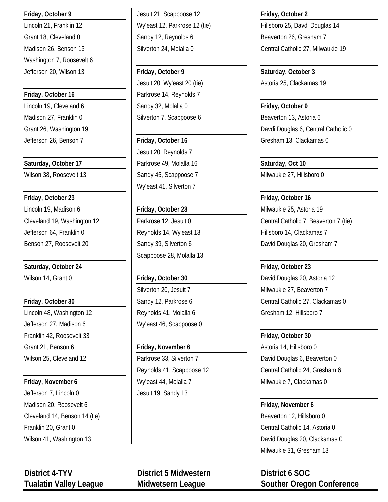Washington 7, Roosevelt 6

**Friday, October 23 Friday, October 16** Lincoln 19, Madison 6 **Friday, October 23** Milwaukie 25, Astoria 19 Jefferson 64, Franklin 0 **Reynolds 14, Wy'east 13** Hillsboro 14, Clackamas 7

Lincoln 48, Washington 12 **Reynolds 41, Molalla 6** Gresham 12, Hillsboro 7 Jefferson 27, Madison 6 Wy'east 46, Scappoose 0 Franklin 42, Roosevelt 33 **Friday, October 30** Grant 21, Benson 6 **Friday, November 6** Astoria 14, Hillsboro 0

Jefferson 7, Lincoln 0 Jesuit 19, Sandy 13 Madison 20, Roosevelt 6 **Friday, November 6 Friday, November 6** Cleveland 14, Benson 14 (tie) **Beaverton 12, Hillsboro 0** and Cleveland 14, Beaverton 12, Hillsboro 0

**Friday, October 9** Jesuit 21, Scappoose 12 **Friday, October 2** Grant 18, Cleveland 0 Sandy 12, Reynolds 6 Beaverton 26, Gresham 7

Jefferson 20, Wilson 13 **Friday, October 9 Saturday, October 3** Jesuit 20, Wy'east 20 (tie) Astoria 25, Clackamas 19 **Friday, October 16 Parkrose 14, Reynolds 7** Lincoln 19, Cleveland 6 **Sandy 32, Molalla 0 Friday, October 9** Madison 27, Franklin 0 Silverton 7, Scappoose 6 Beaverton 13, Astoria 6

Jesuit 20, Reynolds 7 **Saturday, October 17 Parkrose 49, Molalla 16 Saturday, Oct 10 Saturday, Oct 10** Wy'east 41, Silverton 7

Scappoose 28, Molalla 13

**Friday, November 6** My'east 44, Molalla 7 Milwaukie 7, Clackamas 0

Lincoln 21, Franklin 12 **Wy'east 12, Parkrose 12 (tie)** Hillsboro 25, Davdi Douglas 14 Madison 26, Benson 13 **Silverton 24, Molalla 0** Central Catholic 27, Milwaukie 19

Grant 26, Washington 19 **David Life Science 19 Of Catholic O** David Douglas 6, Central Catholic 0 Jefferson 26, Benson 7 **Friday, October 16** Gresham 13, Clackamas 0

Wilson 38, Roosevelt 13 Sandy 45, Scappoose 7 Milwaukie 27, Hillsboro 0

Cleveland 19, Washington 12 **Parkrose 12, Jesuit 0** Central Catholic 7, Beaverton 7 (tie) Benson 27, Roosevelt 20 Sandy 39, Silverton 6 Senson 27, Roosevelt 20 Senson 7

**Saturday, October 24 Friday, October 23** Wilson 14, Grant 0 **Friday, October 30** David Douglas 20, Astoria 12 Silverton 20, Jesuit 7 Milwaukie 27, Beaverton 7 **Friday, October 30 Central Catholic 27, Clackamas 0** Sandy 12, Parkrose 6 **Central Catholic 27, Clackamas 0** 

Wilson 25, Cleveland 12 **Parkrose 33, Silverton 7** David Douglas 6, Beaverton 0 Reynolds 41, Scappoose 12 **Central Catholic 24, Gresham 6** 

Franklin 20, Grant 0 Central Catholic 14, Astoria 0 Wilson 41, Washington 13 **David Douglas 20, Clackamas 0** Milwaukie 31, Gresham 13

**Tualatin Valley League Midwetsern League Souther Oregon Conference**

**District 4-TYV District 5 Midwestern District 6 SOC**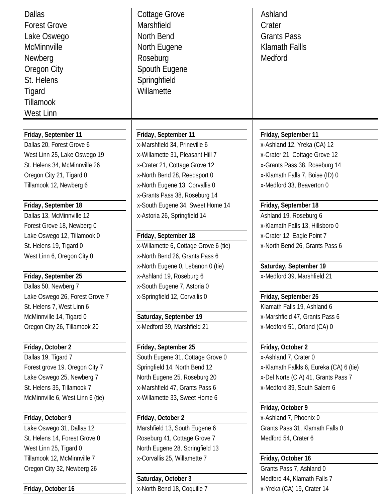| <b>Dallas</b><br><b>Forest Grove</b><br>Lake Oswego<br>McMinnville<br>Newberg<br>Oregon City<br>St. Helens<br>Tigard<br><b>Tillamook</b><br>West Linn | Cottage Grove<br>Marshfield<br>North Bend<br>North Eugene<br>Roseburg<br>Spouth Eugene<br>Springhfield<br>Willamette | Ashland<br>Crater<br><b>Grants Pass</b><br><b>Klamath Fallls</b><br>Medford |
|-------------------------------------------------------------------------------------------------------------------------------------------------------|----------------------------------------------------------------------------------------------------------------------|-----------------------------------------------------------------------------|
|                                                                                                                                                       |                                                                                                                      |                                                                             |
| Friday, September 11<br>Dallas 20, Forest Grove 6                                                                                                     | Friday, September 11                                                                                                 | Friday, September 11                                                        |
| West Linn 25, Lake Oswego 19                                                                                                                          | x-Marshfield 34, Prineville 6                                                                                        | x-Ashland 12, Yreka (CA) 12<br>x-Crater 21, Cottage Grove 12                |
| St. Helens 34, McMinnville 26                                                                                                                         | x-Willamette 31, Pleasant Hill 7                                                                                     | x-Grants Pass 38, Roseburg 14                                               |
| Oregon City 21, Tigard 0                                                                                                                              | x-Crater 21, Cottage Grove 12<br>x-North Bend 28, Reedsport 0                                                        | x-Klamath Falls 7, Boise (ID) 0                                             |
| Tillamook 12, Newberg 6                                                                                                                               | x-North Eugene 13, Corvallis 0                                                                                       | x-Medford 33, Beaverton 0                                                   |
|                                                                                                                                                       | x-Grants Pass 38, Roseburg 14                                                                                        |                                                                             |
| Friday, September 18                                                                                                                                  | x-South Eugene 34, Sweet Home 14                                                                                     | Friday, September 18                                                        |
| Dallas 13, McMinnville 12                                                                                                                             | x-Astoria 26, Springfield 14                                                                                         | Ashland 19, Roseburg 6                                                      |
| Forest Grove 18, Newberg 0                                                                                                                            |                                                                                                                      | x-Klamath Falls 13, Hillsboro 0                                             |
| Lake Oswego 12, Tillamook 0                                                                                                                           | Friday, September 18                                                                                                 | x-Crater 12, Eagle Point 7                                                  |
| St. Helens 19, Tigard 0                                                                                                                               | x-Willamette 6, Cottage Grove 6 (tie)                                                                                | x-North Bend 26, Grants Pass 6                                              |
| West Linn 6, Oregon City 0                                                                                                                            | x-North Bend 26, Grants Pass 6                                                                                       |                                                                             |
|                                                                                                                                                       | x-North Eugene 0, Lebanon 0 (tie)                                                                                    | Saturday, September 19                                                      |
| Friday, September 25                                                                                                                                  | x-Ashland 19, Roseburg 6                                                                                             | x-Medford 39, Marshfield 21                                                 |
| Dallas 50, Newberg 7                                                                                                                                  | x-South Eugene 7, Astoria 0                                                                                          |                                                                             |
| Lake Oswego 26, Forest Grove 7                                                                                                                        | x-Springfield 12, Corvallis 0                                                                                        | Friday, September 25                                                        |
| St. Helens 7, West Linn 6                                                                                                                             |                                                                                                                      | Klamath Falls 19, Ashland 6                                                 |
| McMinnville 14, Tigard 0                                                                                                                              | Saturday, September 19                                                                                               | x-Marshfield 47, Grants Pass 6                                              |
| Oregon City 26, Tillamook 20                                                                                                                          | x-Medford 39, Marshfield 21                                                                                          | x-Medford 51, Orland (CA) 0                                                 |
|                                                                                                                                                       |                                                                                                                      |                                                                             |
| Friday, October 2                                                                                                                                     | Friday, September 25                                                                                                 | Friday, October 2                                                           |
| Dallas 19, Tigard 7                                                                                                                                   | South Eugene 31, Cottage Grove 0                                                                                     | x-Ashland 7, Crater 0                                                       |
| Forest grove 19. Oregon City 7                                                                                                                        | Springfield 14, North Bend 12                                                                                        | x-Klamath Falkls 6, Eureka (CA) 6 (tie)                                     |
| Lake Oswego 25, Newberg 7                                                                                                                             | North Eugene 25, Roseburg 20                                                                                         | x-Del Norte (C A) 41, Grants Pass 7                                         |
| St. Helens 35, Tillamook 7                                                                                                                            | x-Marshfield 47, Grants Pass 6                                                                                       | x-Medford 39, South Salem 6                                                 |
| McMinnville 6, West Linn 6 (tie)                                                                                                                      | x-Willamette 33, Sweet Home 6                                                                                        |                                                                             |
|                                                                                                                                                       |                                                                                                                      | Friday, October 9                                                           |
| Friday, October 9                                                                                                                                     | Friday, October 2                                                                                                    | x-Ashland 7, Phoenix 0                                                      |
| Lake Oswego 31, Dallas 12                                                                                                                             | Marshfield 13, South Eugene 6                                                                                        | Grants Pass 31, Klamath Falls 0                                             |
| St. Helens 14, Forest Grove 0                                                                                                                         | Roseburg 41, Cottage Grove 7                                                                                         | Medford 54, Crater 6                                                        |
| West Linn 25, Tigard 0                                                                                                                                | North Eugene 28, Springfield 13                                                                                      |                                                                             |
| Tillamook 12, McMinnville 7                                                                                                                           | x-Corvallis 25, Willamette 7                                                                                         | Friday, October 16                                                          |
| Oregon City 32, Newberg 26                                                                                                                            |                                                                                                                      | Grants Pass 7, Ashland 0                                                    |
|                                                                                                                                                       | Saturday, October 3                                                                                                  | Medford 44, Klamath Falls 7                                                 |
| Friday, October 16                                                                                                                                    | x-North Bend 18, Coquille 7                                                                                          | x-Yreka (CA) 19, Crater 14                                                  |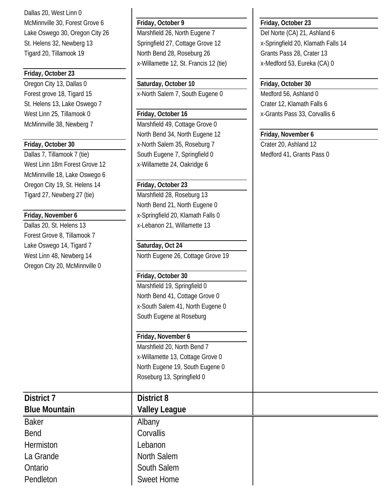Dallas 20, West Linn 0 McMinnville 30, Forest Grove 6 **Friday, October 9 Friday, October 23**

# **Friday, October 23**

Oregon City 13, Dallas 0 **Saturday, October 10 Friday, October 30** St. Helens 13, Lake Oswego 7 Crater 12, Klamath Falls 6 West Linn 25, Tillamook 0 **Friday, October 16** X-Grants Pass 33, Corvallis 6

West Linn 18m Forest Grove 12 | x-Willamette 24, Oakridge 6 McMinnville 18, Lake Oswego 6 Oregon City 19, St. Helens 14 **Friday, October 23** Tigard 27, Newberg 27 (tie) Marshfield 28, Roseburg 13

Forest Grove 8, Tillamook 7 Lake Oswego 14, Tigard 7 **Saturday, Oct 24** Oregon City 20, McMinnville 0

Lake Oswego 30, Oregon City 26 | Marshfield 26, North Eugene 7 | Del Norte (CA) 21, Ashland 6 St. Helens 32, Newberg 13 Springfield 27, Cottage Grove 12 X-Springfield 20, Klamath Falls 14 Tigard 20, Tillamook 19 North Bend 28, Roseburg 26 Grants Pass 28, Crater 13 x-Willamette 12, St. Francis 12 (tie) x-Medford 53, Eureka (CA) 0

Forest grove 18, Tigard 15 **X**-North Salem 7, South Eugene 0 Medford 56, Ashland 0

McMinnville 38, Newberg 7 Marshfield 49, Cottage Grove 0 North Bend 34, North Eugene 12 **Friday, November 6 Friday, October 30** X-North Salem 35, Roseburg 7 Crater 20, Ashland 12 Dallas 7, Tillamook 7 (tie) South Eugene 7, Springfield 0 Medford 41, Grants Pass 0

North Bend 21, North Eugene 0 **Friday, November 6** X-Springfield 20, Klamath Falls 0 Dallas 20, St. Helens 13 x-Lebanon 21, Willamette 13

West Linn 48, Newberg 14 North Eugene 26, Cottage Grove 19

## **Friday, October 30**

Marshfield 19, Springfield 0 North Bend 41, Cottage Grove 0 x-South Salem 41, North Eugene 0 South Eugene at Roseburg

# **Friday, November 6**

Marshfield 20, North Bend 7 x-Willamette 13, Cottage Grove 0 North Eugene 19, South Eugene 0 Roseburg 13, Springfield 0

# **District 7 District 8 Blue Mountain Valley League**

Baker **Albany** Bend Corvallis Hermiston Lebanon La Grande North Salem Ontario **South Salem** Pendleton **Sweet Home**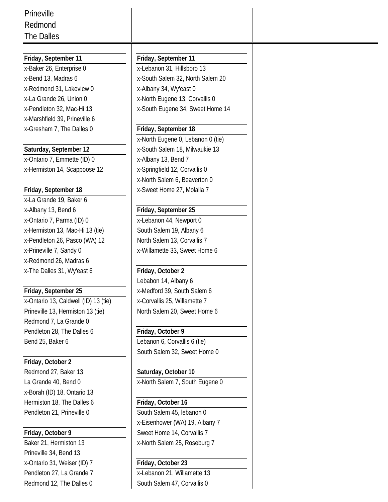| Prineville                           |                                   |
|--------------------------------------|-----------------------------------|
| Redmond                              |                                   |
| The Dalles                           |                                   |
|                                      |                                   |
| Friday, September 11                 | Friday, September 11              |
| x-Baker 26, Enterprise 0             | x-Lebanon 31, Hillsboro 13        |
| x-Bend 13, Madras 6                  | x-South Salem 32, North Salem 20  |
| x-Redmond 31, Lakeview 0             | x-Albany 34, Wy'east 0            |
| x-La Grande 26, Union 0              | x-North Eugene 13, Corvallis 0    |
| x-Pendleton 32, Mac-Hi 13            | x-South Eugene 34, Sweet Home 14  |
| x-Marshfield 39, Prineville 6        |                                   |
| x-Gresham 7, The Dalles 0            | Friday, September 18              |
|                                      | x-North Eugene 0, Lebanon 0 (tie) |
| Saturday, September 12               | x-South Salem 18, Milwaukie 13    |
| x-Ontario 7, Emmette (ID) 0          | x-Albany 13, Bend 7               |
| x-Hermiston 14, Scappoose 12         | x-Springfield 12, Corvallis 0     |
|                                      | x-North Salem 6, Beaverton 0      |
| Friday, September 18                 | x-Sweet Home 27, Molalla 7        |
| x-La Grande 19, Baker 6              |                                   |
| x-Albany 13, Bend 6                  | Friday, September 25              |
| x-Ontario 7, Parma (ID) 0            | x-Lebanon 44, Newport 0           |
| x-Hermiston 13, Mac-Hi 13 (tie)      | South Salem 19, Albany 6          |
| x-Pendleton 26, Pasco (WA) 12        | North Salem 13, Corvallis 7       |
| x-Prineville 7, Sandy 0              | x-Willamette 33, Sweet Home 6     |
| x-Redmond 26, Madras 6               |                                   |
| x-The Dalles 31, Wy'east 6           | Friday, October 2                 |
|                                      | Lebabon 14, Albany 6              |
| Friday, September 25                 | x-Medford 39, South Salem 6       |
| x-Ontario 13, Caldwell (ID) 13 (tie) | x-Corvallis 25, Willamette 7      |
| Prineville 13, Hermiston 13 (tie)    | North Salem 20, Sweet Home 6      |
| Redmond 7, La Grande 0               |                                   |
| Pendleton 28, The Dalles 6           | Friday, October 9                 |
| Bend 25, Baker 6                     | Lebanon 6, Corvallis 6 (tie)      |
|                                      | South Salem 32, Sweet Home 0      |
| Friday, October 2                    |                                   |
| Redmond 27, Baker 13                 | Saturday, October 10              |
| La Grande 40, Bend 0                 | x-North Salem 7, South Eugene 0   |
|                                      |                                   |
| x-Borah (ID) 18, Ontario 13          |                                   |
| Hermiston 18, The Dalles 6           | Friday, October 16                |
| Pendleton 21, Prineville 0           | South Salem 45, lebanon 0         |
|                                      | x-Eisenhower (WA) 19, Albany 7    |
| Friday, October 9                    | Sweet Home 14, Corvallis 7        |
| Baker 21, Hermiston 13               | x-North Salem 25, Roseburg 7      |
| Prineville 34, Bend 13               |                                   |
| x-Ontario 31, Weiser (ID) 7          | Friday, October 23                |
| Pendleton 27, La Grande 7            | x-Lebanon 21, Willamette 13       |

Redmond 12, The Dalles 0 South Salem 47, Corvallis 0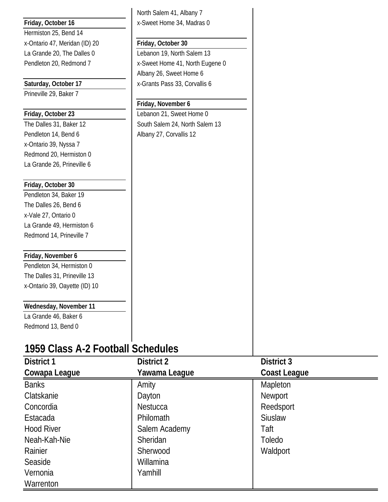|                                   | North Salem 41, Albany 7        |                     |
|-----------------------------------|---------------------------------|---------------------|
| Friday, October 16                | x-Sweet Home 34, Madras 0       |                     |
| Hermiston 25, Bend 14             |                                 |                     |
| x-Ontario 47, Meridan (ID) 20     | Friday, October 30              |                     |
| La Grande 20, The Dalles 0        | Lebanon 19, North Salem 13      |                     |
| Pendleton 20, Redmond 7           | x-Sweet Home 41, North Eugene 0 |                     |
|                                   | Albany 26, Sweet Home 6         |                     |
| Saturday, October 17              | x-Grants Pass 33, Corvallis 6   |                     |
| Prineville 29, Baker 7            |                                 |                     |
|                                   | Friday, November 6              |                     |
| Friday, October 23                | Lebanon 21, Sweet Home 0        |                     |
| The Dalles 31, Baker 12           | South Salem 24, North Salem 13  |                     |
| Pendleton 14, Bend 6              | Albany 27, Corvallis 12         |                     |
| x-Ontario 39, Nyssa 7             |                                 |                     |
| Redmond 20, Hermiston 0           |                                 |                     |
| La Grande 26, Prineville 6        |                                 |                     |
|                                   |                                 |                     |
| Friday, October 30                |                                 |                     |
| Pendleton 34, Baker 19            |                                 |                     |
| The Dalles 26, Bend 6             |                                 |                     |
| x-Vale 27, Ontario 0              |                                 |                     |
| La Grande 49, Hermiston 6         |                                 |                     |
| Redmond 14, Prineville 7          |                                 |                     |
| Friday, November 6                |                                 |                     |
| Pendleton 34, Hermiston 0         |                                 |                     |
| The Dalles 31, Prineville 13      |                                 |                     |
| x-Ontario 39, Oayette (ID) 10     |                                 |                     |
| Wednesday, November 11            |                                 |                     |
| La Grande 46, Baker 6             |                                 |                     |
| Redmond 13, Bend 0                |                                 |                     |
|                                   |                                 |                     |
| 1959 Class A-2 Football Schedules |                                 |                     |
| <b>District 1</b>                 | <b>District 2</b>               | District 3          |
| Cowapa League                     | Yawama League                   | <b>Coast League</b> |
| <b>Banks</b>                      | Amity                           | Mapleton            |
| Clatskanie                        | Dayton                          | Newport             |
| Concordia                         | <b>Nestucca</b>                 | Reedsport           |
| Estacada                          | Philomath                       | <b>Siuslaw</b>      |
| <b>Hood River</b>                 |                                 | Taft                |
|                                   | Salem Academy                   |                     |
| Neah-Kah-Nie                      | Sheridan                        | Toledo              |
| Rainier                           | Sherwood                        | Waldport            |
| Seaside                           | Willamina                       |                     |
| Vernonia                          | Yamhill                         |                     |
| Warrenton                         |                                 |                     |
|                                   |                                 |                     |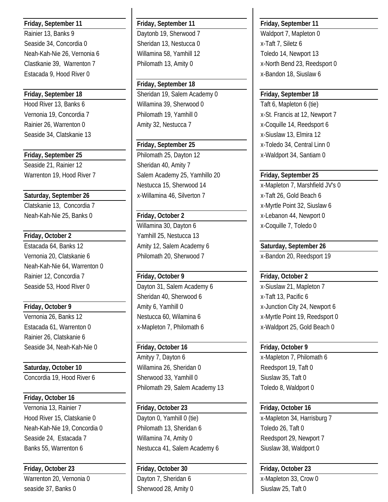Rainier 13, Banks 9 **Daytonb 19, Sherwood 7** Waldport 7, Mapleton 0 Seaside 34, Concordia 0 Sheridan 13, Nestucca 0 x-Taft 7, Siletz 6 Neah-Kah-Nie 26, Vernonia 6 | Willamina 58, Yamhill 12 | Toledo 14, Newport 13 Clastkanie 39, Warrenton 7 Philomath 13, Amity 0 x-North Bend 23, Reedsport 0 Estacada 9, Hood River 0 x-Bandon 18, Siuslaw 6

Seaside 34, Clatskanie 13 x-Siuslaw 13, Elmira 12

Seaside 21, Rainier 12 **Sheridan 40, Amity 7** Sheridan 40, Amity 7

Clatskanie 13, Concordia 7 x-Myrtle Point 32, Siuslaw 6 Neah-Kah-Nie 25, Banks 0 **Friday, October 2** x-Lebanon 44, Newport 0

Estacada 64, Banks 12 **Amity 12, Salem Academy 6 Saturday, September 26** Vernonia 20, Clatskanie 6 Philomath 20, Sherwood 7 x-Bandon 20, Reedsport 19 Neah-Kah-Nie 64, Warrenton 0 Rainier 12, Concordia 7 **Friday, October 9 Friday, October 2** Seaside 53, Hood River 0 Dayton 31, Salem Academy 6 x-Siuslaw 21, Mapleton 7

Rainier 26, Clatskanie 6

# **Friday, October 16**

Warrenton 20, Vernonia 0 **Dayton 7, Sheridan 6** x-Mapleton 33, Crow 0 seaside 37, Banks 0 Sherwood 28, Amity 0 Siuslaw 25, Taft 0

### **Friday, September 11 Friday, September 11 Friday, September 11**

**Friday, September 18 Friday, September 18** Sheridan 19, Salem Academy 0 **Friday, September 18** Hood River 13, Banks 6 Willamina 39, Sherwood 0 Taft 6, Mapleton 6 (tie) Vernonia 19, Concordia 7 Philomath 19, Yamhill 0 x-St. Francis at 12, Newport 7 Rainier 26, Warrenton 0 Amity 32, Nestucca 7 Nestucca 7 Nexturn 26, Warrenton 0

**Friday, September 25 Philomath 25, Dayton 12** x-Waldport 34, Santiam 0 Warrenton 19, Hood River 7 Salem Academy 25, Yamhillo 20 **Friday, September 25** Nestucca 15, Sherwood 14 x-Mapleton 7, Marshfield JV's 0 **Saturday, September 26** x-Willamina 46, Silverton 7 x-Taft 26, Gold Beach 6

Willamina 30, Dayton 6 x-Coquille 7, Toledo 0 **Friday, October 2** Yamhill 25, Nestucca 13

Sheridan 40, Sherwood 6 x-Taft 13, Pacific 6 Estacada 61, Warrenton 0 x-Mapleton 7, Philomath 6 x-Waldport 25, Gold Beach 0

Seaside 34, Neah-Kah-Nie 0 **Friday, October 16 Friday, October 9** Amityy 7, Dayton 6 x-Mapleton 7, Philomath 6 **Saturday, October 10 Nillamina 26, Sheridan 0 Reedsport 19, Taft 0** Reedsport 19, Taft 0 Concordia 19, Hood River 6 Sherwood 33, Yamhill 0 Siuslaw 35, Taft 0 Philomath 29, Salem Academy 13 Toledo 8, Waldport 0

Vernonia 13, Rainier 7 **Friday, October 23 Friday, October 16** Hood River 15, Clatskanie 0 **Dayton 0, Yamhill 0 (tie)** x-Mapleton 34, Harrisburg 7 Neah-Kah-Nie 19, Concordia 0 Philomath 13, Sheridan 6 Toledo 26, Taft 0 Seaside 24, Estacada 7 | Willamina 74, Amity 0 | Reedsport 29, Newport 7 Banks 55, Warrenton 6 **Nestucca 41, Salem Academy 6** Siuslaw 38, Waldport 0

**Friday, October 23 Friday, October 30 Friday, October 23**

**Friday, September 25** X-Toledo 34, Central Linn 0

**Friday, October 9 Amill 0 Amity 6, Yamhill 0 Amill 2 Amill 2 Amill 2 Amill 2 Amill 2 Amill 2 Amill 2 Amill 2 Amill 2 Amill 2 Amill 2 Amill 2 Amill 2 Amill 2 Amill 2 Amill 2 Amill 2** Vernonia 26, Banks 12 **Nestucca 60, Wilamina 6** x-Myrtle Point 19, Reedsport 0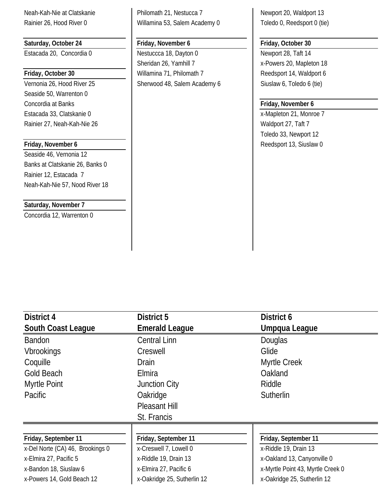**Saturday, October 24 Friday, November 6 Friday, October 30**

Seaside 50, Warrenton 0 Concordia at Banks **Friday, November 6** Estacada 33, Clatskanie 0 x-Mapleton 21, Monroe 7 Rainier 27, Neah-Kah-Nie 26 Waldport 27, Taft 7

Seaside 46, Vernonia 12 Banks at Clatskanie 26, Banks 0 Rainier 12, Estacada 7 Neah-Kah-Nie 57, Nood River 18

### **Saturday, November 7**

Concordia 12, Warrenton 0

Neah-Kah-Nie at Clatskanie **Philomath 21, Nestucca 7** Newport 20, Waldport 13 Rainier 26, Hood River 0 Nillamina 53, Salem Academy 0 Toledo 0, Reedsport 0 (tie)

Estacada 20, Concordia 0 Nestuccca 18, Dayton 0 Newport 28, Taft 14 Sheridan 26, Yamhill 7 x-Powers 20, Mapleton 18 **Friday, October 30 Willamina 71, Philomath 7** Reedsport 14, Waldport 6 Vernonia 26, Hood River 25 Sherwood 48, Salem Academy 6 Siuslaw 6, Toledo 6 (tie)

Toledo 33, Newport 12 **Friday, November 6 Reedsport 13, Siuslaw 0** 

| District 4                       | District 5                  | District 6                        |
|----------------------------------|-----------------------------|-----------------------------------|
| <b>South Coast League</b>        | <b>Emerald League</b>       | Umpqua League                     |
| <b>Bandon</b>                    | <b>Central Linn</b>         | Douglas                           |
| <b>Vbrookings</b>                | Creswell                    | Glide                             |
| Coquille                         | <b>Drain</b>                | Myrtle Creek                      |
| Gold Beach                       | Elmira                      | Oakland                           |
| Myrtle Point                     | <b>Junction City</b>        | Riddle                            |
| Pacific                          | Oakridge                    | Sutherlin                         |
|                                  | Pleasant Hill               |                                   |
|                                  | St. Francis                 |                                   |
|                                  |                             |                                   |
| Friday, September 11             | Friday, September 11        | Friday, September 11              |
| x-Del Norte (CA) 46, Brookings 0 | x-Creswell 7, Lowell 0      | x-Riddle 19, Drain 13             |
| x-Elmira 27, Pacific 5           | x-Riddle 19, Drain 13       | x-Oakland 13, Canyonville 0       |
| x-Bandon 18, Siuslaw 6           | x-Elmira 27, Pacific 6      | x-Myrtle Point 43, Myrtle Creek 0 |
| x-Powers 14, Gold Beach 12       | x-Oakridge 25, Sutherlin 12 | x-Oakridge 25, Sutherlin 12       |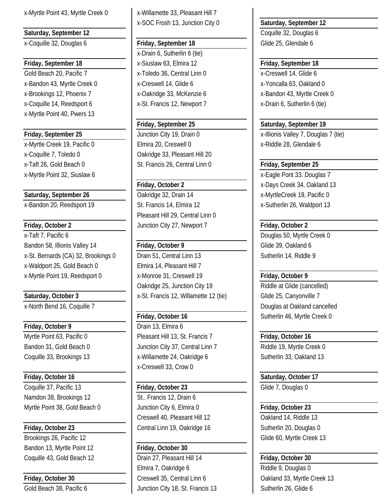x-Myrtle Point 43, Myrtle Creek 0 x-Willamette 33, Pleasant Hill 7

x-Coquille 32, Douglas 6 **Friday, September 18** Glide 25, Glendale 6

Gold Beach 20, Pacific 7 x-Toledo 36, Central Linn 0 x-Creswell 14, Glide 6 x-Bandon 43, Myrtle Creek 0 x-Creswell 14, Glide 6 x-Yoncalla 63, Oakland 0 x-Brookings 12, Phoenix 7 x-Oakridge 33, McKenzie 6 x-Bandon 43, Myrtle Creek 0 x-Coquille 14, Reedsport 6  $x-$  x-St. Francis 12, Newport 7  $x-$  x-Drain 6, Sutherlin 6 (tie) x-Myrtle Point 40, Pwers 13

x-Myrtle Creek 19, Pacific 0 Elmira 20, Creswell 0 x-Riddle 28, Glendale 6 x-Coquille 7, Toledo 0 <br>  $\bigcup$  Oakridge 33, Pleasant Hill 20 x-Taft 26, Gold Beach 0 **St. Francis 26, Central Linn 0** Friday, September 25 x-Myrtle Point 32, Siuslaw 6 x-Myrtle Point 33. Douglas 7

x-Taft 7, Pacific 6 **Douglas 50, Myrtle Creek 0** Bandon 58, Illionis Valley 14 **Friday, October 9** Glide 39, Oakland 6 x-St. Bernards (CA) 32, Brookings 0 | Drain 51, Central Linn 13 | Sutherlin 14, Riddle 9 x-Waldport 25, Gold Beach 0 Elmira 14, Pleasant Hill 7 x-Myrtle Point 19, Reedsport 0 x-Monroe 31, Creswell 19 **Friday, October 9**

**Friday, October 9 Drain 13, Elmira 6** 

Friday, October 16 **Saturday**, October 17 Coquille 37, Pacific 13 **Friday, October 23** Glide 7, Douglas 0 Namdon 38, Brookings 12 **St..** Francis 12, Drain 6 Myrtle Point 38, Gold Beach 0 Junction City 6, Elmira 0 **Friday, October 23** 

Brookings 26, Pacific 12 **Glide 60, Myrtle Creek 13** Bandon 13, Myrtle Point 12 **Friday, October 30**

x-SOC Frosh 13, Junction City 0 **Saturday, September 12**

x-Drain 6, Sutherlin 6 (tie) **Friday, September 18** x-Siuslaw 63, Elmira 12 **Friday, September 18**

**Saturday, September 26 Cakridge 32, Drain 14 Carrier 19, Pacific 0 Case 32, Drain 14 Case 32, Drain 14 Case 32, Drain 14 Case 32, Drain 14 Case 32, Drain 14 Case 32, Drain 14 Case 32, Drain 14 Case 32,** x-Bandon 20, Reedsport 19 **St. Francis 14, Elmira 12** x-Sutherlin 26, Waldport 13 Pleasant Hill 29, Central Linn 0 **Friday, October 2 Junction City 27, Newport 7 Friday, October 2** 

Oakridge 25, Junction City 19 Riddle at Glide (cancelled) **Saturday, October 3 12.5** x-St. Francis 12, Willamette 12 (tie) Glide 25, Canyonville 7

Myrtle Point 63, Pacific 0 **Pleasant Hill 13, St. Francis 7 Friday, October 16** Bandon 31, Gold Beach 0 Junction City 37, Central Linn 7 Riddle 19, Myrtle Creek 0 Coquille 33, Brookings 13 <br>
x-Willamette 24, Oakridge 6 <br>
Sutherlin 33, Oakland 13 x-Creswell 33, Crow 0

Creswell 40, Pleasant Hill 12 **Creswell 40, Pleasant Hill 12** Oakland 14, Riddle 13 **Friday, October 23 Central Linn 19, Oakridge 16** Sutherlin 20, Douglas 0

Coquille 43, Gold Beach 12 Drain 27, Pleasant Hill 14 **Friday, October 30** Elmira 7, Oakridge 6 Riddle 9, Douglas 0 **Friday, October 30 Creswell 35, Central Linn 6 Oakland 33, Myrtle Creek 13** Gold Beach 38, Pacific 6 Junction City 18, St. Francis 13 Sutherlin 26, Glide 6

**Saturday, September 12** Coquille 32, Douglas 6

**Friday, September 25 Saturday, September 19 Friday, September 25** | Junction City 19, Drain 0 | x-Illionis Valley 7, Douglas 7 (tie)

**Friday, October 2** X-Days Creek 34, Oakland 13

x-North Bend 16, Coquille 7 Douglas at Oakland cancelled **Friday, October 16 Friday, October 16 Sutherlin 46, Myrtle Creek 0**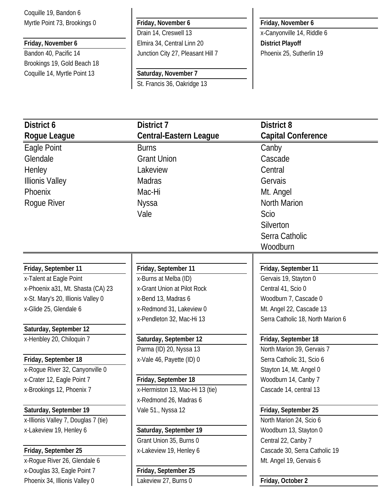Coquille 19, Bandon 6 Myrtle Point 73, Brookings 0 **Friday, November 6 Friday, November 6**

Brookings 19, Gold Beach 18 Coquille 14, Myrtle Point 13 **Saturday, November 7**

**Friday, November 6 Elmira 34, Central Linn 20 District Playoff** Bandon 40, Pacific 14 Junction City 27, Pleasant Hill 7 Phoenix 25, Sutherlin 19

St. Francis 36, Oakridge 13

Drain 14, Creswell 13 **X**-Canyonville 14, Riddle 6

| District 6                           | District 7                      | <b>District 8</b>                 |
|--------------------------------------|---------------------------------|-----------------------------------|
| Rogue League                         | <b>Central-Eastern League</b>   | <b>Capital Conference</b>         |
| Eagle Point                          | <b>Burns</b>                    | Canby                             |
| Glendale                             | <b>Grant Union</b>              | Cascade                           |
| Henley                               | Lakeview                        | Central                           |
| <b>Illionis Valley</b>               | <b>Madras</b>                   | Gervais                           |
| Phoenix                              | Mac-Hi                          | Mt. Angel                         |
| Rogue River                          | Nyssa                           | <b>North Marion</b>               |
|                                      | Vale                            | Scio                              |
|                                      |                                 | Silverton                         |
|                                      |                                 | Serra Catholic                    |
|                                      |                                 | Woodburn                          |
|                                      |                                 |                                   |
| Friday, September 11                 | Friday, September 11            | Friday, September 11              |
| x-Talent at Eagle Point              | x-Burns at Melba (ID)           | Gervais 19, Stayton 0             |
| x-Phoenix a31, Mt. Shasta (CA) 23    | x-Grant Union at Pilot Rock     | Central 41, Scio 0                |
| x-St. Mary's 20, Illionis Valley 0   | x-Bend 13, Madras 6             | Woodburn 7, Cascade 0             |
| x-Glide 25, Glendale 6               | x-Redmond 31, Lakeview 0        | Mt. Angel 22, Cascade 13          |
|                                      | x-Pendleton 32, Mac-Hi 13       | Serra Catholic 18, North Marion 6 |
| Saturday, September 12               |                                 |                                   |
| x-Henbley 20, Chiloquin 7            | Saturday, September 12          | Friday, September 18              |
|                                      | Parma (ID) 20, Nyssa 13         | North Marion 39, Gervais 7        |
| Friday, September 18                 | x-Vale 46, Payette (ID) 0       | Serra Catholic 31, Scio 6         |
| x-Rogue River 32, Canyonville 0      |                                 | Stayton 14, Mt. Angel 0           |
| x-Crater 12, Eagle Point 7           | Friday, September 18            | Woodburn 14, Canby 7              |
| x-Brookings 12, Phoenix 7            | x-Hermiston 13, Mac-Hi 13 (tie) | Cascade 14, central 13            |
|                                      | x-Redmond 26, Madras 6          |                                   |
| Saturday, September 19               | Vale 51., Nyssa 12              | Friday, September 25              |
| x-Illionis Valley 7, Douglas 7 (tie) |                                 | North Marion 24, Scio 6           |
| x-Lakeview 19, Henley 6              | Saturday, September 19          | Woodburn 13, Stayton 0            |
|                                      | Grant Union 35, Burns 0         | Central 22, Canby 7               |
| Friday, September 25                 | x-Lakeview 19, Henley 6         | Cascade 30, Serra Catholic 19     |
| x-Rogue River 26, Glendale 6         |                                 | Mt. Angel 19, Gervais 6           |
| x-Douglas 33, Eagle Point 7          | Friday, September 25            |                                   |
| Phoenix 34, Illionis Valley 0        | Lakeview 27, Burns 0            | Friday, October 2                 |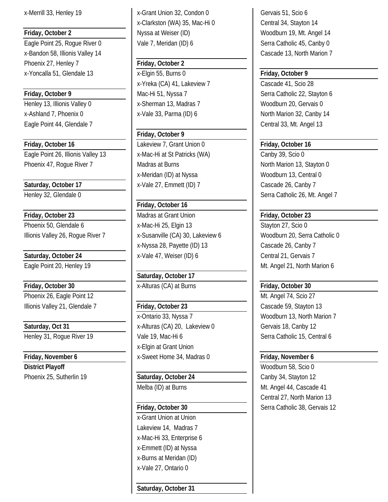x-Bandon 58, Illionis Valley 14 Cascade 13, North Marion 7 Phoenix 27, Henley 7 **Friday, October 2** x-Yoncalla 51, Glendale 13 x-Elgin 55, Burns 0 **Friday, October 9**

Eagle Point 44, Glendale 7 and 13 and 13 and 13 and 13 and 13 and 13 and 13 and 13 and 13 and 13 and 13 and 13

**Friday, October 16 Lakeview 7, Grant Union 0 Friday, October 16** Eagle Point 26, Illionis Valley 13 | x-Mac-Hi at St Patricks (WA) | Canby 39, Scio 0 Phoenix 47, Rogue River 7 Madras at Burns North Marion 13, Stayton 0

**Friday, October 30** x-Alturas (CA) at Burns **Friday, October 30** Phoenix 26, Eagle Point 12 **Million** Phoenix 26, Eagle Point 12

**District Playoff** Material Material Material Material Material Material Material Material Material Material Material Material Material Material Material Material Material Material Material Material Material Material Mater Phoenix 25, Sutherlin 19 **Saturday, October 24** Canby 34, Stayton 12

x-Merrill 33, Henley 19 x-Grant Union 32, Condon 0 Gervais 51, Scio 6 x-Clarkston (WA) 35, Mac-Hi 0 Central 34, Stayton 14 **Friday, October 2 Nyssa at Weiser (ID)** Woodburn 19, Mt. Angel 14 Eagle Point 25, Rogue River 0 Vale 7, Meridan (ID) 6 Serra Catholic 45, Canby 0

x-Yreka (CA) 41, Lakeview 7 Cascade 41, Scio 28 **Friday, October 9** Mac-Hi 51, Nyssa 7 Serra Catholic 22, Stayton 6 Henley 13, Illionis Valley 0 x-Sherman 13, Madras 7 Woodburn 20, Gervais 0 x-Ashland 7, Phoenix 0 x-Vale 33, Parma (ID) 6 North Marion 32, Canby 14

# **Friday, October 9**

x-Meridan (ID) at Nyssa Woodburn 13, Central 0 Saturday, October 17 **X**-Vale 27, Emmett (ID) 7 Cascade 26, Canby 7

# **Friday, October 16**

**Friday, October 23** Madras at Grant Union **Friday, October 23** Phoenix 50, Glendale 6 <br>
x-Mac-Hi 25, Elgin 13 <br>
x-Mac-Hi 25, Elgin 13 Illionis Valley 26, Roque River 7 | x-Susanville (CA) 30, Lakeview 6 | Woodburn 20, Serra Catholic 0 x-Nyssa 28, Payette (ID) 13 Cascade 26, Canby 7 **Saturday, October 24 X**-Vale 47, Weiser (ID) 6 **Central 21, Gervais 7** Central 21, Gervais 7

**Saturday, October 17**

# Illionis Valley 21, Glendale 7 **Friday, October 23** Cascade 59, Stayton 13 x-Ontario 33, Nyssa 7 Woodburn 13, North Marion 7 Saturday, Oct 31 **X-Alturas (CA) 20, Lakeview 0** Gervais 18, Canby 12 Henley 31, Rogue River 19 Vale 19, Mac-Hi 6 Serra Catholic 15, Central 6 x-Elgin at Grant Union **Friday, November 6 Friday, November 6 Friday, November 6 Friday, November 6 Friday, November 6**

x-Grant Union at Union Lakeview 14, Madras 7 x-Mac-Hi 33, Enterprise 6 x-Emmett (ID) at Nyssa x-Burns at Meridan (ID) x-Vale 27, Ontario 0

**Saturday, October 31**

Henley 32, Glendale 0 Serra Catholic 26, Mt. Angel 7

Eagle Point 20, Henley 19 Mt. Angel 21, North Marion 6

Melba (ID) at Burns Melba (ID) at Burns Music Cascade 41 Central 27, North Marion 13 **Friday, October 30** Serra Catholic 38, Gervais 12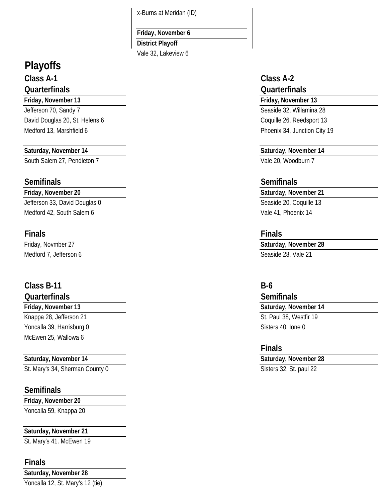x-Burns at Meridan (ID)

## **Friday, November 6**

**District Playoff** Vale 32, Lakeview 6

# **Playoffs**

# **Class A-1 Class A-2 Quarterfinals Quarterfinals**

## **Friday, November 13 Friday, November 13**

Jefferson 70, Sandy 7 Seaside 32, Willamina 28 David Douglas 20, St. Helens 6 Coquille 26, Reedsport 13 Medford 13, Marshfield 6 Phoenix 34, Junction City 19

South Salem 27, Pendleton 7 Vale 20, Woodburn 7

# **Semifinals Semifinals**

Jefferson 33, David Douglas 0 Seaside 20, Coquille 13 Medford 42, South Salem 6 Vale 41, Phoenix 14

# **Finals Finals**

Medford 7, Jefferson 6 Seaside 28, Vale 21

# **Class B-11 B-6**

Knappa 28, Jefferson 21 St. Paul 38, Westfir 19 Yoncalla 39, Harrisburg 0 Sisters 40, Ione 0 McEwen 25, Wallowa 6

St. Mary's 34, Sherman County 0 Sisters 32, St. paul 22

# **Semifinals**

**Friday, November 20**

Yoncalla 59, Knappa 20

# **Saturday, November 21**

St. Mary's 41. McEwen 19

# **Finals**

**Saturday, November 28** Yoncalla 12, St. Mary's 12 (tie)

# **Saturday, November 14 Saturday, November 14**

# **Friday, November 20 Saturday, November 21**

Friday, Novmber 27 **Saturday, November 28**

# **Quarterfinals Semifinals Friday, November 13 Saturday, November 14**

# **Finals**

# **Saturday, November 14 Saturday, November 28**